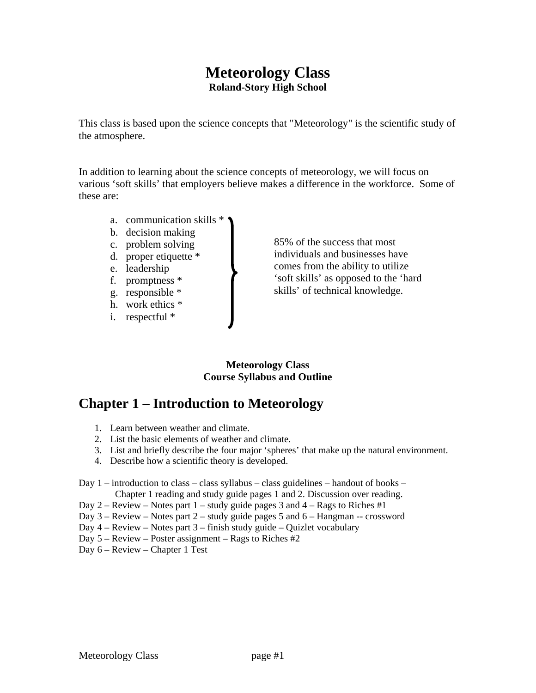### **Meteorology Class Roland-Story High School**

This class is based upon the science concepts that "Meteorology" is the scientific study of the atmosphere.

In addition to learning about the science concepts of meteorology, we will focus on various 'soft skills' that employers believe makes a difference in the workforce. Some of these are:

- a. communication skills \*
- b. decision making
- c. problem solving
- d. proper etiquette \*
- e. leadership
- f. promptness \*
- g. responsible \*
- h. work ethics \*
- i. respectful \*

85% of the success that most individuals and businesses have comes from the ability to utilize 'soft skills' as opposed to the 'hard skills' of technical knowledge.

#### **Meteorology Class Course Syllabus and Outline**

# **Chapter 1 – Introduction to Meteorology**

- 1. Learn between weather and climate.
- 2. List the basic elements of weather and climate.
- 3. List and briefly describe the four major 'spheres' that make up the natural environment.
- 4. Describe how a scientific theory is developed.

#### Day 1 – introduction to class – class syllabus – class guidelines – handout of books – Chapter 1 reading and study guide pages 1 and 2. Discussion over reading.

- Day 2 Review Notes part  $1$  study guide pages 3 and  $4$  Rags to Riches #1
- Day 3 Review Notes part 2 study guide pages 5 and 6 Hangman -- crossword
- Day 4 Review Notes part 3 finish study guide Quizlet vocabulary
- Day 5 Review Poster assignment Rags to Riches #2

Day 6 – Review – Chapter 1 Test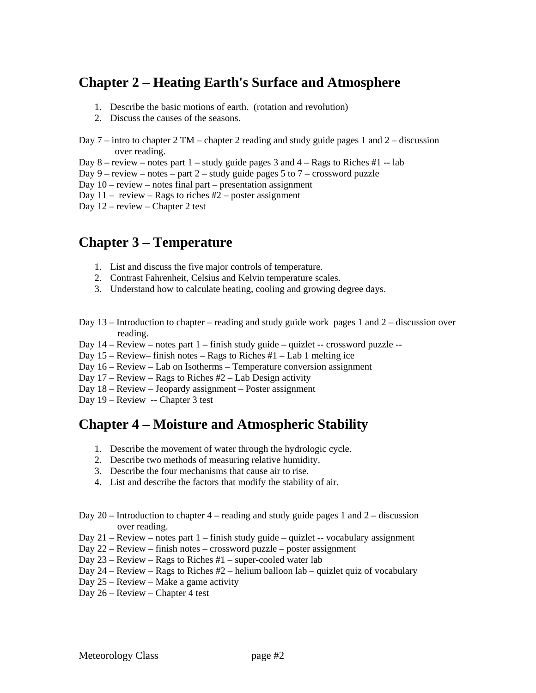## **Chapter 2 – Heating Earth's Surface and Atmosphere**

- 1. Describe the basic motions of earth. (rotation and revolution)
- 2. Discuss the causes of the seasons.
- Day 7 intro to chapter 2 TM chapter 2 reading and study guide pages 1 and 2 discussion over reading.
- Day  $8$  review notes part  $1$  study guide pages 3 and  $4$  Rags to Riches #1 lab
- Day  $9$  review notes part  $2$  study guide pages 5 to  $7$  crossword puzzle

Day  $10$  – review – notes final part – presentation assignment

Day  $11 -$  review – Rags to riches  $#2 -$  poster assignment

Day 12 – review – Chapter 2 test

## **Chapter 3 – Temperature**

- 1. List and discuss the five major controls of temperature.
- 2. Contrast Fahrenheit, Celsius and Kelvin temperature scales.
- 3. Understand how to calculate heating, cooling and growing degree days.
- Day 13 Introduction to chapter reading and study guide work pages 1 and 2 discussion over reading.
- Day  $14 -$  Review notes part  $1 -$  finish study guide quizlet -- crossword puzzle --
- Day 15 Review– finish notes Rags to Riches #1 Lab 1 melting ice
- Day 16 Review Lab on Isotherms Temperature conversion assignment
- Day  $17$  Review Rags to Riches  $#2$  Lab Design activity
- Day 18 Review Jeopardy assignment Poster assignment
- Day 19 Review -- Chapter 3 test

## **Chapter 4 – Moisture and Atmospheric Stability**

- 1. Describe the movement of water through the hydrologic cycle.
- 2. Describe two methods of measuring relative humidity.
- 3. Describe the four mechanisms that cause air to rise.
- 4. List and describe the factors that modify the stability of air.
- Day 20 Introduction to chapter  $4$  reading and study guide pages 1 and  $2$  discussion over reading.
- Day 21 Review notes part 1 finish study guide quizlet -- vocabulary assignment
- Day 22 Review finish notes crossword puzzle poster assignment
- Day  $23$  Review Rags to Riches  $#1$  super-cooled water lab
- Day  $24$  Review Rags to Riches  $#2$  helium balloon lab quizlet quiz of vocabulary
- Day 25 Review Make a game activity
- Day 26 Review Chapter 4 test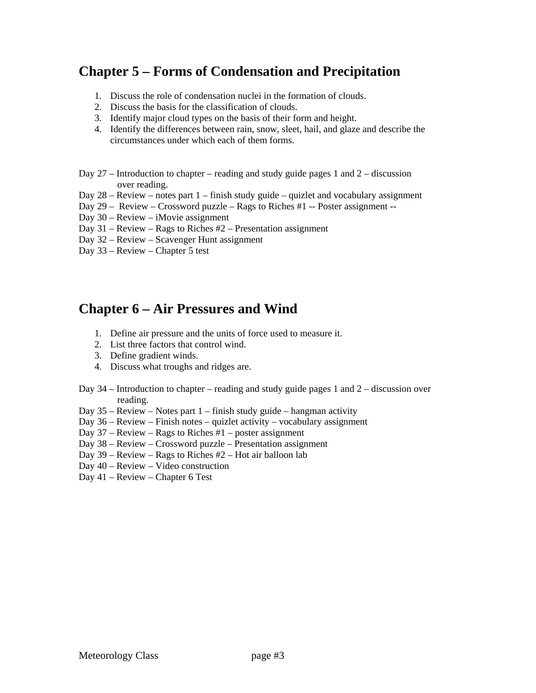## **Chapter 5 – Forms of Condensation and Precipitation**

- 1. Discuss the role of condensation nuclei in the formation of clouds.
- 2. Discuss the basis for the classification of clouds.
- 3. Identify major cloud types on the basis of their form and height.
- 4. Identify the differences between rain, snow, sleet, hail, and glaze and describe the circumstances under which each of them forms.
- Day  $27$  Introduction to chapter reading and study guide pages 1 and  $2$  discussion over reading.
- Day 28 Review notes part 1 finish study guide quizlet and vocabulary assignment
- Day 29 Review Crossword puzzle Rags to Riches #1 -- Poster assignment --
- Day 30 Review iMovie assignment
- Day 31 Review Rags to Riches #2 Presentation assignment
- Day 32 Review Scavenger Hunt assignment
- Day 33 Review Chapter 5 test

## **Chapter 6 – Air Pressures and Wind**

- 1. Define air pressure and the units of force used to measure it.
- 2. List three factors that control wind.
- 3. Define gradient winds.
- 4. Discuss what troughs and ridges are.
- Day 34 Introduction to chapter reading and study guide pages 1 and 2 discussion over reading.
- Day  $35$  Review Notes part  $1$  finish study guide hangman activity
- Day 36 Review Finish notes quizlet activity vocabulary assignment
- Day  $37$  Review Rags to Riches  $#1$  poster assignment
- Day 38 Review Crossword puzzle Presentation assignment
- Day 39 Review Rags to Riches #2 Hot air balloon lab
- Day 40 Review Video construction
- Day 41 Review Chapter 6 Test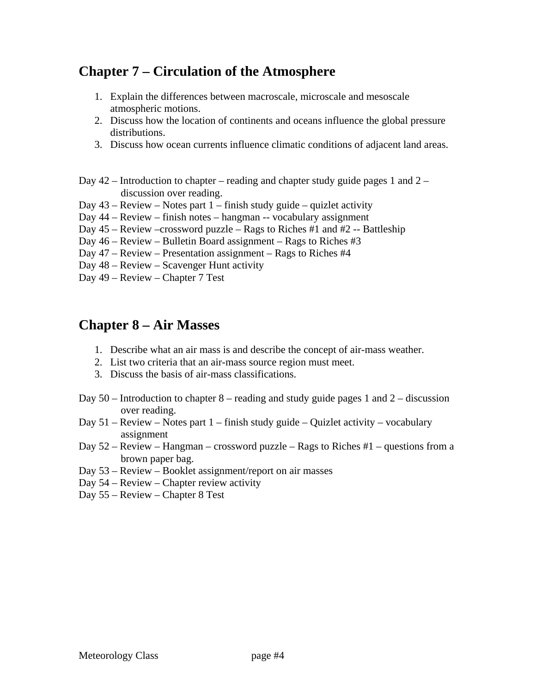## **Chapter 7 – Circulation of the Atmosphere**

- 1. Explain the differences between macroscale, microscale and mesoscale atmospheric motions.
- 2. Discuss how the location of continents and oceans influence the global pressure distributions.
- 3. Discuss how ocean currents influence climatic conditions of adjacent land areas.
- Day  $42$  Introduction to chapter reading and chapter study guide pages 1 and  $2$  discussion over reading.
- Day  $43$  Review Notes part  $1$  finish study guide quizlet activity
- Day 44 Review finish notes hangman -- vocabulary assignment
- Day 45 Review –crossword puzzle Rags to Riches #1 and #2 -- Battleship
- Day 46 Review Bulletin Board assignment Rags to Riches #3
- Day 47 Review Presentation assignment Rags to Riches #4
- Day 48 Review Scavenger Hunt activity
- Day 49 Review Chapter 7 Test

### **Chapter 8 – Air Masses**

- 1. Describe what an air mass is and describe the concept of air-mass weather.
- 2. List two criteria that an air-mass source region must meet.
- 3. Discuss the basis of air-mass classifications.
- Day  $50$  Introduction to chapter 8 reading and study guide pages 1 and 2 discussion over reading.
- Day 51 Review Notes part 1 finish study guide Quizlet activity vocabulary assignment
- Day 52 Review Hangman crossword puzzle Rags to Riches #1 questions from a brown paper bag.
- Day 53 Review Booklet assignment/report on air masses
- Day 54 Review Chapter review activity
- Day 55 Review Chapter 8 Test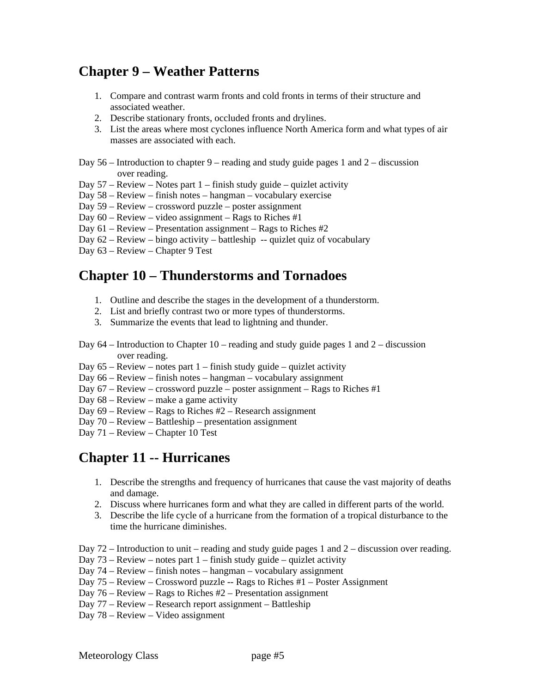## **Chapter 9 – Weather Patterns**

- 1. Compare and contrast warm fronts and cold fronts in terms of their structure and associated weather.
- 2. Describe stationary fronts, occluded fronts and drylines.
- 3. List the areas where most cyclones influence North America form and what types of air masses are associated with each.
- Day  $56$  Introduction to chapter  $9$  reading and study guide pages 1 and  $2$  discussion over reading.
- Day  $57$  Review Notes part 1 finish study guide quizlet activity
- Day 58 Review finish notes hangman vocabulary exercise
- Day 59 Review crossword puzzle poster assignment
- Day  $60$  Review video assignment Rags to Riches #1
- Day 61 Review Presentation assignment Rags to Riches #2
- Day 62 Review bingo activity battleship -- quizlet quiz of vocabulary
- Day 63 Review Chapter 9 Test

### **Chapter 10 – Thunderstorms and Tornadoes**

- 1. Outline and describe the stages in the development of a thunderstorm.
- 2. List and briefly contrast two or more types of thunderstorms.
- 3. Summarize the events that lead to lightning and thunder.
- Day 64 Introduction to Chapter 10 reading and study guide pages 1 and 2 discussion over reading.
- Day  $65$  Review notes part 1 finish study guide quizlet activity
- Day 66 Review finish notes hangman vocabulary assignment
- Day 67 Review crossword puzzle poster assignment Rags to Riches #1
- Day 68 Review make a game activity
- Day 69 Review Rags to Riches #2 Research assignment
- Day 70 Review Battleship presentation assignment
- Day 71 Review Chapter 10 Test

## **Chapter 11 -- Hurricanes**

- 1. Describe the strengths and frequency of hurricanes that cause the vast majority of deaths and damage.
- 2. Discuss where hurricanes form and what they are called in different parts of the world.
- 3. Describe the life cycle of a hurricane from the formation of a tropical disturbance to the time the hurricane diminishes.
- Day 72 Introduction to unit reading and study guide pages 1 and 2 discussion over reading.
- Day  $73$  Review notes part  $1$  finish study guide quizlet activity
- Day 74 Review finish notes hangman vocabulary assignment
- Day 75 Review Crossword puzzle -- Rags to Riches #1 Poster Assignment
- Day 76 Review Rags to Riches #2 Presentation assignment
- Day 77 Review Research report assignment Battleship
- Day 78 Review Video assignment